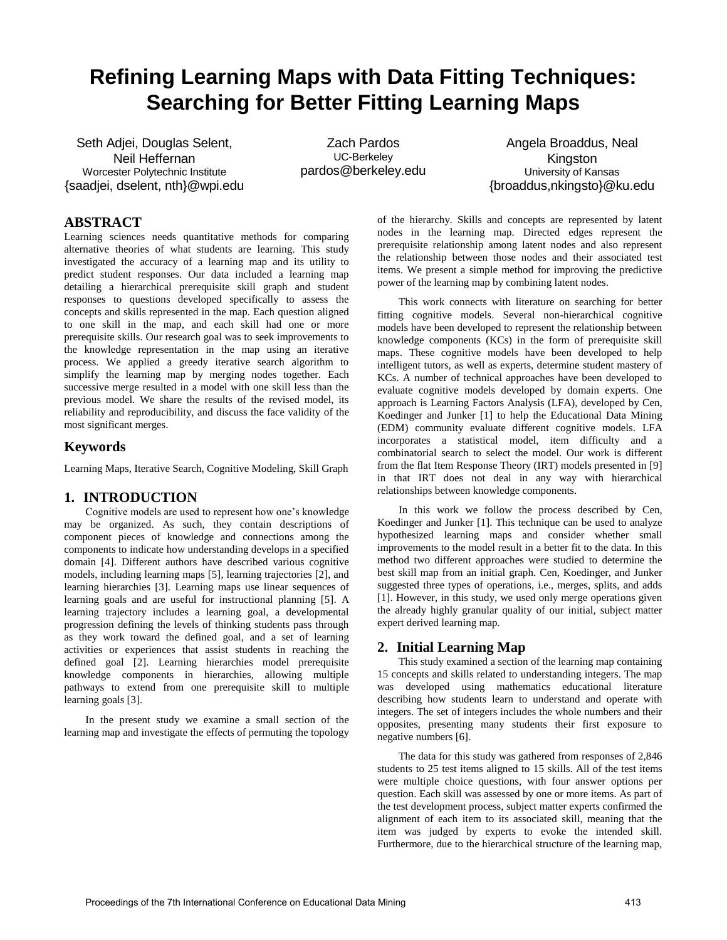# **Refining Learning Maps with Data Fitting Techniques: Searching for Better Fitting Learning Maps**

Seth Adjei, Douglas Selent, Neil Heffernan Worcester Polytechnic Institute {saadjei, dselent, nth}@wpi.edu

Zach Pardos UC-Berkeley pardos@berkeley.edu

Angela Broaddus, Neal **Kingston** University of Kansas {broaddus,nkingsto}@ku.edu

# **ABSTRACT**

Learning sciences needs quantitative methods for comparing alternative theories of what students are learning. This study investigated the accuracy of a learning map and its utility to predict student responses. Our data included a learning map detailing a hierarchical prerequisite skill graph and student responses to questions developed specifically to assess the concepts and skills represented in the map. Each question aligned to one skill in the map, and each skill had one or more prerequisite skills. Our research goal was to seek improvements to the knowledge representation in the map using an iterative process. We applied a greedy iterative search algorithm to simplify the learning map by merging nodes together. Each successive merge resulted in a model with one skill less than the previous model. We share the results of the revised model, its reliability and reproducibility, and discuss the face validity of the most significant merges.

## **Keywords**

Learning Maps, Iterative Search, Cognitive Modeling, Skill Graph

## **1. INTRODUCTION**

Cognitive models are used to represent how one's knowledge may be organized. As such, they contain descriptions of component pieces of knowledge and connections among the components to indicate how understanding develops in a specified domain [4]. Different authors have described various cognitive models, including learning maps [5], learning trajectories [2], and learning hierarchies [3]. Learning maps use linear sequences of learning goals and are useful for instructional planning [5]. A learning trajectory includes a learning goal, a developmental progression defining the levels of thinking students pass through as they work toward the defined goal, and a set of learning activities or experiences that assist students in reaching the defined goal [2]. Learning hierarchies model prerequisite knowledge components in hierarchies, allowing multiple pathways to extend from one prerequisite skill to multiple learning goals [3].

In the present study we examine a small section of the learning map and investigate the effects of permuting the topology

of the hierarchy. Skills and concepts are represented by latent nodes in the learning map. Directed edges represent the prerequisite relationship among latent nodes and also represent the relationship between those nodes and their associated test items. We present a simple method for improving the predictive power of the learning map by combining latent nodes.

This work connects with literature on searching for better fitting cognitive models. Several non-hierarchical cognitive models have been developed to represent the relationship between knowledge components (KCs) in the form of prerequisite skill maps. These cognitive models have been developed to help intelligent tutors, as well as experts, determine student mastery of KCs. A number of technical approaches have been developed to evaluate cognitive models developed by domain experts. One approach is Learning Factors Analysis (LFA), developed by Cen, Koedinger and Junker [1] to help the Educational Data Mining (EDM) community evaluate different cognitive models. LFA incorporates a statistical model, item difficulty and a combinatorial search to select the model. Our work is different from the flat Item Response Theory (IRT) models presented in [9] in that IRT does not deal in any way with hierarchical relationships between knowledge components.

In this work we follow the process described by Cen, Koedinger and Junker [1]. This technique can be used to analyze hypothesized learning maps and consider whether small improvements to the model result in a better fit to the data. In this method two different approaches were studied to determine the best skill map from an initial graph. Cen, Koedinger, and Junker suggested three types of operations, i.e., merges, splits, and adds [1]. However, in this study, we used only merge operations given the already highly granular quality of our initial, subject matter expert derived learning map.

## **2. Initial Learning Map**

This study examined a section of the learning map containing 15 concepts and skills related to understanding integers. The map was developed using mathematics educational literature describing how students learn to understand and operate with integers. The set of integers includes the whole numbers and their opposites, presenting many students their first exposure to negative numbers [6].

The data for this study was gathered from responses of 2,846 students to 25 test items aligned to 15 skills. All of the test items were multiple choice questions, with four answer options per question. Each skill was assessed by one or more items. As part of the test development process, subject matter experts confirmed the alignment of each item to its associated skill, meaning that the item was judged by experts to evoke the intended skill. Furthermore, due to the hierarchical structure of the learning map,